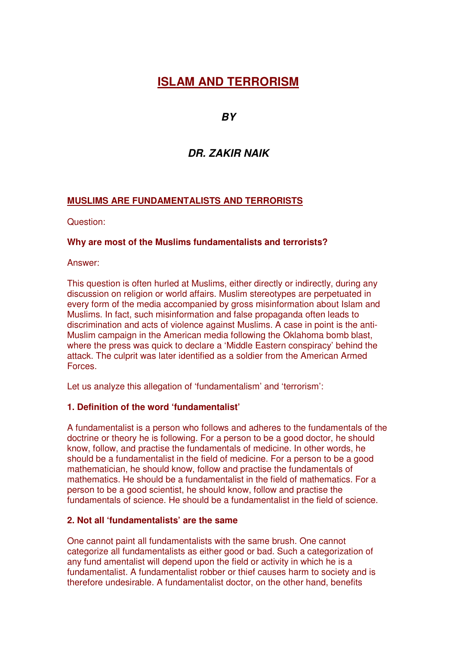# **ISLAM AND TERRORISM**

## **BY**

## **DR. ZAKIR NAIK**

## **MUSLIMS ARE FUNDAMENTALISTS AND TERRORISTS**

Question:

## **Why are most of the Muslims fundamentalists and terrorists?**

Answer:

This question is often hurled at Muslims, either directly or indirectly, during any discussion on religion or world affairs. Muslim stereotypes are perpetuated in every form of the media accompanied by gross misinformation about Islam and Muslims. In fact, such misinformation and false propaganda often leads to discrimination and acts of violence against Muslims. A case in point is the anti-Muslim campaign in the American media following the Oklahoma bomb blast, where the press was quick to declare a 'Middle Eastern conspiracy' behind the attack. The culprit was later identified as a soldier from the American Armed Forces.

Let us analyze this allegation of 'fundamentalism' and 'terrorism':

## **1. Definition of the word 'fundamentalist'**

A fundamentalist is a person who follows and adheres to the fundamentals of the doctrine or theory he is following. For a person to be a good doctor, he should know, follow, and practise the fundamentals of medicine. In other words, he should be a fundamentalist in the field of medicine. For a person to be a good mathematician, he should know, follow and practise the fundamentals of mathematics. He should be a fundamentalist in the field of mathematics. For a person to be a good scientist, he should know, follow and practise the fundamentals of science. He should be a fundamentalist in the field of science.

## **2. Not all 'fundamentalists' are the same**

One cannot paint all fundamentalists with the same brush. One cannot categorize all fundamentalists as either good or bad. Such a categorization of any fund amentalist will depend upon the field or activity in which he is a fundamentalist. A fundamentalist robber or thief causes harm to society and is therefore undesirable. A fundamentalist doctor, on the other hand, benefits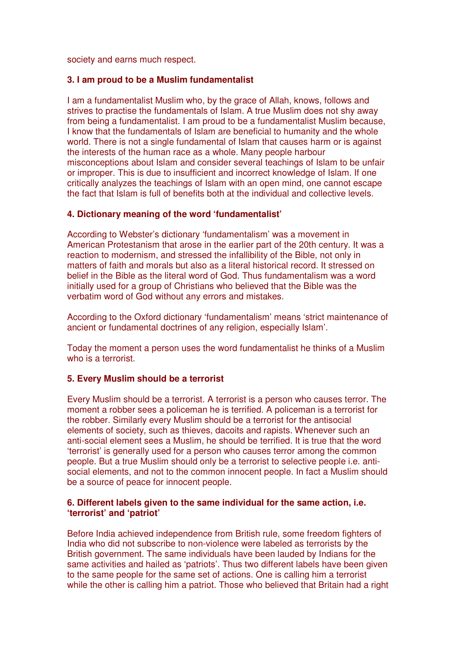society and earns much respect.

## **3. I am proud to be a Muslim fundamentalist**

I am a fundamentalist Muslim who, by the grace of Allah, knows, follows and strives to practise the fundamentals of Islam. A true Muslim does not shy away from being a fundamentalist. I am proud to be a fundamentalist Muslim because, I know that the fundamentals of Islam are beneficial to humanity and the whole world. There is not a single fundamental of Islam that causes harm or is against the interests of the human race as a whole. Many people harbour misconceptions about Islam and consider several teachings of Islam to be unfair or improper. This is due to insufficient and incorrect knowledge of Islam. If one critically analyzes the teachings of Islam with an open mind, one cannot escape the fact that Islam is full of benefits both at the individual and collective levels.

## **4. Dictionary meaning of the word 'fundamentalist'**

According to Webster's dictionary 'fundamentalism' was a movement in American Protestanism that arose in the earlier part of the 20th century. It was a reaction to modernism, and stressed the infallibility of the Bible, not only in matters of faith and morals but also as a literal historical record. It stressed on belief in the Bible as the literal word of God. Thus fundamentalism was a word initially used for a group of Christians who believed that the Bible was the verbatim word of God without any errors and mistakes.

According to the Oxford dictionary 'fundamentalism' means 'strict maintenance of ancient or fundamental doctrines of any religion, especially Islam'.

Today the moment a person uses the word fundamentalist he thinks of a Muslim who is a terrorist.

## **5. Every Muslim should be a terrorist**

Every Muslim should be a terrorist. A terrorist is a person who causes terror. The moment a robber sees a policeman he is terrified. A policeman is a terrorist for the robber. Similarly every Muslim should be a terrorist for the antisocial elements of society, such as thieves, dacoits and rapists. Whenever such an anti-social element sees a Muslim, he should be terrified. It is true that the word 'terrorist' is generally used for a person who causes terror among the common people. But a true Muslim should only be a terrorist to selective people i.e. antisocial elements, and not to the common innocent people. In fact a Muslim should be a source of peace for innocent people.

## **6. Different labels given to the same individual for the same action, i.e. 'terrorist' and 'patriot'**

Before India achieved independence from British rule, some freedom fighters of India who did not subscribe to non-violence were labeled as terrorists by the British government. The same individuals have been lauded by Indians for the same activities and hailed as 'patriots'. Thus two different labels have been given to the same people for the same set of actions. One is calling him a terrorist while the other is calling him a patriot. Those who believed that Britain had a right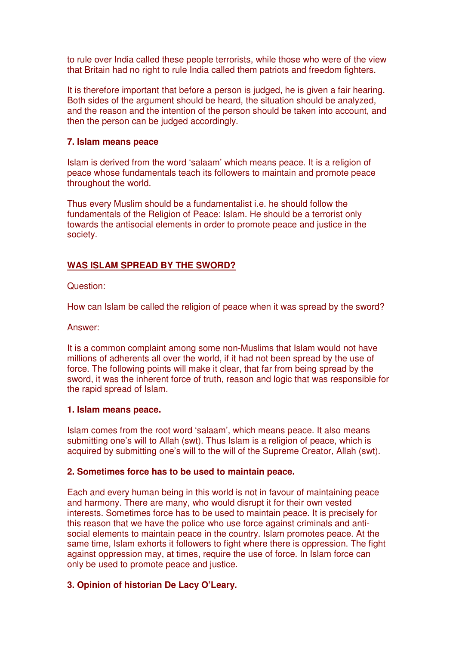to rule over India called these people terrorists, while those who were of the view that Britain had no right to rule India called them patriots and freedom fighters.

It is therefore important that before a person is judged, he is given a fair hearing. Both sides of the argument should be heard, the situation should be analyzed, and the reason and the intention of the person should be taken into account, and then the person can be judged accordingly.

## **7. Islam means peace**

Islam is derived from the word 'salaam' which means peace. It is a religion of peace whose fundamentals teach its followers to maintain and promote peace throughout the world.

Thus every Muslim should be a fundamentalist i.e. he should follow the fundamentals of the Religion of Peace: Islam. He should be a terrorist only towards the antisocial elements in order to promote peace and justice in the society.

## **WAS ISLAM SPREAD BY THE SWORD?**

Question:

How can Islam be called the religion of peace when it was spread by the sword?

Answer:

It is a common complaint among some non-Muslims that Islam would not have millions of adherents all over the world, if it had not been spread by the use of force. The following points will make it clear, that far from being spread by the sword, it was the inherent force of truth, reason and logic that was responsible for the rapid spread of Islam.

## **1. Islam means peace.**

Islam comes from the root word 'salaam', which means peace. It also means submitting one's will to Allah (swt). Thus Islam is a religion of peace, which is acquired by submitting one's will to the will of the Supreme Creator, Allah (swt).

## **2. Sometimes force has to be used to maintain peace.**

Each and every human being in this world is not in favour of maintaining peace and harmony. There are many, who would disrupt it for their own vested interests. Sometimes force has to be used to maintain peace. It is precisely for this reason that we have the police who use force against criminals and antisocial elements to maintain peace in the country. Islam promotes peace. At the same time, Islam exhorts it followers to fight where there is oppression. The fight against oppression may, at times, require the use of force. In Islam force can only be used to promote peace and justice.

## **3. Opinion of historian De Lacy O'Leary.**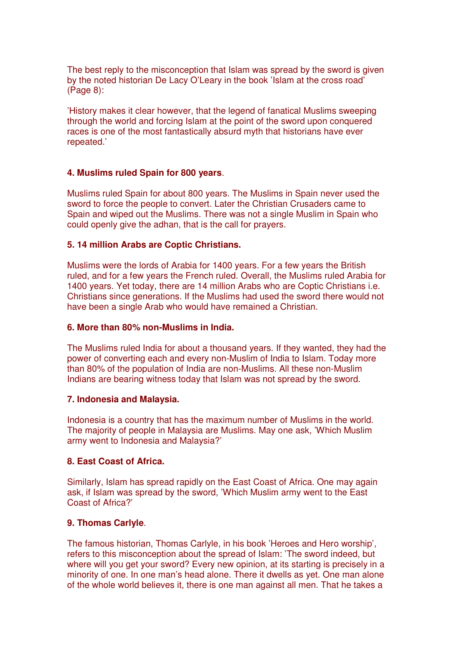The best reply to the misconception that Islam was spread by the sword is given by the noted historian De Lacy O'Leary in the book 'Islam at the cross road' (Page 8):

'History makes it clear however, that the legend of fanatical Muslims sweeping through the world and forcing Islam at the point of the sword upon conquered races is one of the most fantastically absurd myth that historians have ever repeated.'

## **4. Muslims ruled Spain for 800 years**.

Muslims ruled Spain for about 800 years. The Muslims in Spain never used the sword to force the people to convert. Later the Christian Crusaders came to Spain and wiped out the Muslims. There was not a single Muslim in Spain who could openly give the adhan, that is the call for prayers.

## **5. 14 million Arabs are Coptic Christians.**

Muslims were the lords of Arabia for 1400 years. For a few years the British ruled, and for a few years the French ruled. Overall, the Muslims ruled Arabia for 1400 years. Yet today, there are 14 million Arabs who are Coptic Christians i.e. Christians since generations. If the Muslims had used the sword there would not have been a single Arab who would have remained a Christian.

## **6. More than 80% non-Muslims in India.**

The Muslims ruled India for about a thousand years. If they wanted, they had the power of converting each and every non-Muslim of India to Islam. Today more than 80% of the population of India are non-Muslims. All these non-Muslim Indians are bearing witness today that Islam was not spread by the sword.

## **7. Indonesia and Malaysia.**

Indonesia is a country that has the maximum number of Muslims in the world. The majority of people in Malaysia are Muslims. May one ask, 'Which Muslim army went to Indonesia and Malaysia?'

## **8. East Coast of Africa.**

Similarly, Islam has spread rapidly on the East Coast of Africa. One may again ask, if Islam was spread by the sword, 'Which Muslim army went to the East Coast of Africa?'

## **9. Thomas Carlyle**.

The famous historian, Thomas Carlyle, in his book 'Heroes and Hero worship', refers to this misconception about the spread of Islam: 'The sword indeed, but where will you get your sword? Every new opinion, at its starting is precisely in a minority of one. In one man's head alone. There it dwells as yet. One man alone of the whole world believes it, there is one man against all men. That he takes a